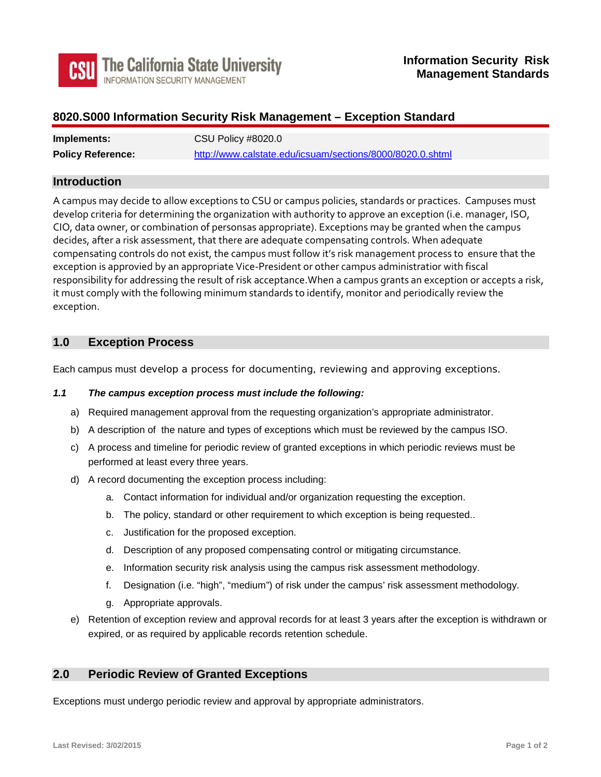

# **8020.S000 Information Security Risk Management – Exception Standard**

| Implements:              | CSU Policy #8020.0                                        |
|--------------------------|-----------------------------------------------------------|
| <b>Policy Reference:</b> | http://www.calstate.edu/icsuam/sections/8000/8020.0.shtml |

### **Introduction**

 A campus may decide to allow exceptions to CSU or campus policies, standards or practices. Campuses must develop criteria for determining the organization with authority to approve an exception (i.e. manager, ISO, decides, after a risk assessment, that there are adequate compensating controls. When adequate compensating controls do not exist, the campus must follow it's risk management process to ensure that the CIO, data owner, or combination of personsas appropriate). Exceptions may be granted when the campus exception is approvied by an appropriate Vice-President or other campus administratior with fiscal responsibility for addressing the result of risk acceptance.When a campus grants an exception or accepts a risk, it must comply with the following minimum standards to identify, monitor and periodically review the exception.

# **1.0 Exception Process**

Each campus must develop a process for documenting, reviewing and approving exceptions.

#### *1.1 The campus exception process must include the following:*

- a) Required management approval from the requesting organization's appropriate administrator.
- b) A description of the nature and types of exceptions which must be reviewed by the campus ISO.
- c) A process and timeline for periodic review of granted exceptions in which periodic reviews must be performed at least every three years.
- d) A record documenting the exception process including:
	- a. Contact information for individual and/or organization requesting the exception.
	- b. The policy, standard or other requirement to which exception is being requested..
	- c. Justification for the proposed exception.
	- d. Description of any proposed compensating control or mitigating circumstance.
	- e. Information security risk analysis using the campus risk assessment methodology.
	- f. Designation (i.e. "high", "medium") of risk under the campus' risk assessment methodology.
	- g. Appropriate approvals.
- expired, or as required by applicable records retention schedule. e) Retention of exception review and approval records for at least 3 years after the exception is withdrawn or

### **2.0 Periodic Review of Granted Exceptions**

Exceptions must undergo periodic review and approval by appropriate administrators.